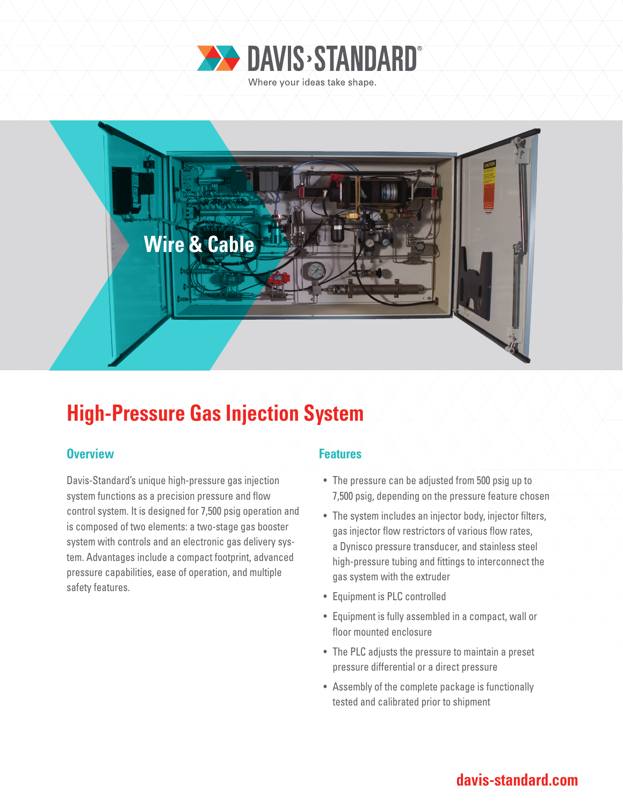



# **High-Pressure Gas Injection System**

### **Overview Allen Accepted Accepted Accepted Accepted Accepted Accepted Accepted Accepted Accepted Accepted Accepted**

Davis-Standard's unique high-pressure gas injection system functions as a precision pressure and flow control system. It is designed for 7,500 psig operation and is composed of two elements: a two-stage gas booster system with controls and an electronic gas delivery system. Advantages include a compact footprint, advanced pressure capabilities, ease of operation, and multiple safety features.

- The pressure can be adjusted from 500 psig up to 7,500 psig, depending on the pressure feature chosen
- The system includes an injector body, injector filters, gas injector flow restrictors of various flow rates, a Dynisco pressure transducer, and stainless steel high-pressure tubing and fittings to interconnect the gas system with the extruder
- Equipment is PLC controlled
- Equipment is fully assembled in a compact, wall or floor mounted enclosure
- The PLC adjusts the pressure to maintain a preset pressure differential or a direct pressure
- Assembly of the complete package is functionally tested and calibrated prior to shipment

### **davis-standard.com**